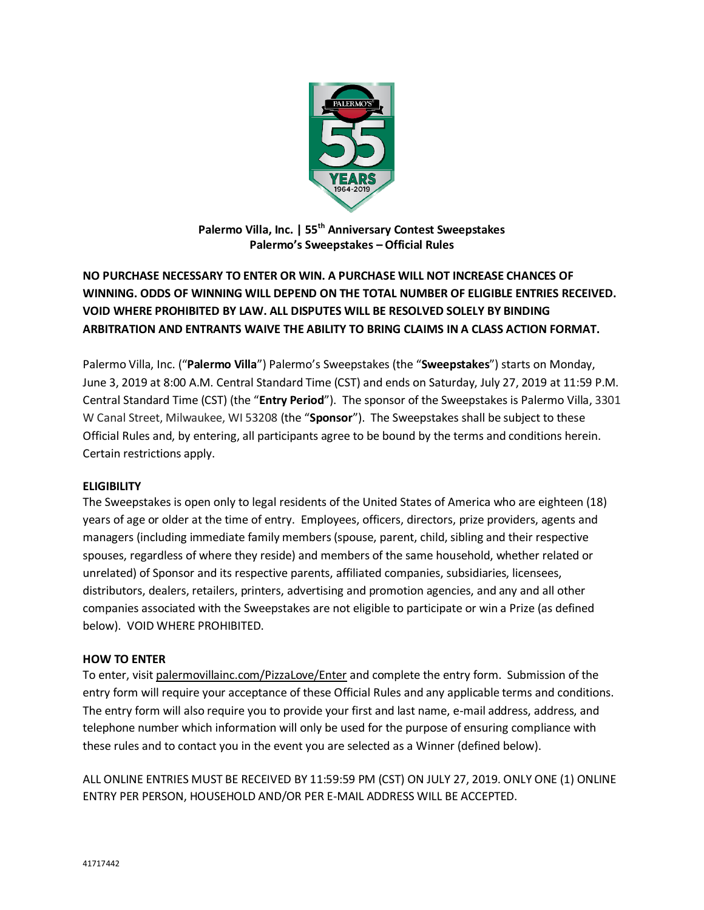

**Palermo Villa, Inc. | 55th Anniversary Contest Sweepstakes Palermo's Sweepstakes – Official Rules**

# **NO PURCHASE NECESSARY TO ENTER OR WIN. A PURCHASE WILL NOT INCREASE CHANCES OF WINNING. ODDS OF WINNING WILL DEPEND ON THE TOTAL NUMBER OF ELIGIBLE ENTRIES RECEIVED. VOID WHERE PROHIBITED BY LAW. ALL DISPUTES WILL BE RESOLVED SOLELY BY BINDING ARBITRATION AND ENTRANTS WAIVE THE ABILITY TO BRING CLAIMS IN A CLASS ACTION FORMAT.**

Palermo Villa, Inc. ("**Palermo Villa**") Palermo's Sweepstakes (the "**Sweepstakes**") starts on Monday, June 3, 2019 at 8:00 A.M. Central Standard Time (CST) and ends on Saturday, July 27, 2019 at 11:59 P.M. Central Standard Time (CST) (the "**Entry Period**"). The sponsor of the Sweepstakes is Palermo Villa, 3301 W Canal Street, Milwaukee, WI 53208 (the "**Sponsor**"). The Sweepstakes shall be subject to these Official Rules and, by entering, all participants agree to be bound by the terms and conditions herein. Certain restrictions apply.

### **ELIGIBILITY**

The Sweepstakes is open only to legal residents of the United States of America who are eighteen (18) years of age or older at the time of entry. Employees, officers, directors, prize providers, agents and managers (including immediate family members (spouse, parent, child, sibling and their respective spouses, regardless of where they reside) and members of the same household, whether related or unrelated) of Sponsor and its respective parents, affiliated companies, subsidiaries, licensees, distributors, dealers, retailers, printers, advertising and promotion agencies, and any and all other companies associated with the Sweepstakes are not eligible to participate or win a Prize (as defined below). VOID WHERE PROHIBITED.

### **HOW TO ENTER**

To enter, visit palermovillainc.com/PizzaLove/Enter and complete the entry form. Submission of the entry form will require your acceptance of these Official Rules and any applicable terms and conditions. The entry form will also require you to provide your first and last name, e-mail address, address, and telephone number which information will only be used for the purpose of ensuring compliance with these rules and to contact you in the event you are selected as a Winner (defined below).

ALL ONLINE ENTRIES MUST BE RECEIVED BY 11:59:59 PM (CST) ON JULY 27, 2019. ONLY ONE (1) ONLINE ENTRY PER PERSON, HOUSEHOLD AND/OR PER E-MAIL ADDRESS WILL BE ACCEPTED.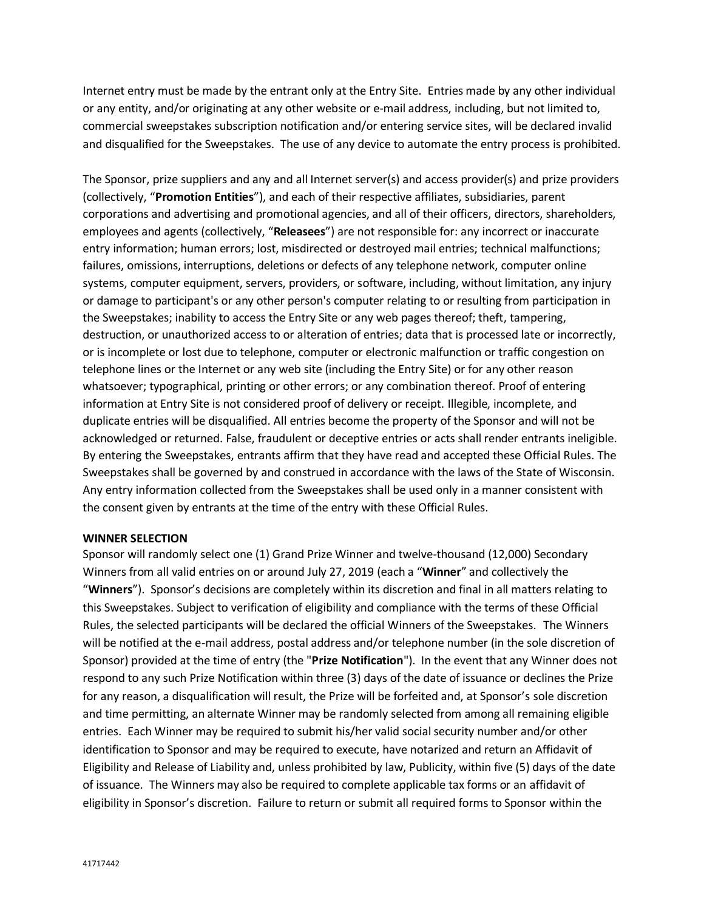Internet entry must be made by the entrant only at the Entry Site. Entries made by any other individual or any entity, and/or originating at any other website or e-mail address, including, but not limited to, commercial sweepstakes subscription notification and/or entering service sites, will be declared invalid and disqualified for the Sweepstakes. The use of any device to automate the entry process is prohibited.

The Sponsor, prize suppliers and any and all Internet server(s) and access provider(s) and prize providers (collectively, "**Promotion Entities**"), and each of their respective affiliates, subsidiaries, parent corporations and advertising and promotional agencies, and all of their officers, directors, shareholders, employees and agents (collectively, "**Releasees**") are not responsible for: any incorrect or inaccurate entry information; human errors; lost, misdirected or destroyed mail entries; technical malfunctions; failures, omissions, interruptions, deletions or defects of any telephone network, computer online systems, computer equipment, servers, providers, or software, including, without limitation, any injury or damage to participant's or any other person's computer relating to or resulting from participation in the Sweepstakes; inability to access the Entry Site or any web pages thereof; theft, tampering, destruction, or unauthorized access to or alteration of entries; data that is processed late or incorrectly, or is incomplete or lost due to telephone, computer or electronic malfunction or traffic congestion on telephone lines or the Internet or any web site (including the Entry Site) or for any other reason whatsoever; typographical, printing or other errors; or any combination thereof. Proof of entering information at Entry Site is not considered proof of delivery or receipt. Illegible, incomplete, and duplicate entries will be disqualified. All entries become the property of the Sponsor and will not be acknowledged or returned. False, fraudulent or deceptive entries or acts shall render entrants ineligible. By entering the Sweepstakes, entrants affirm that they have read and accepted these Official Rules. The Sweepstakes shall be governed by and construed in accordance with the laws of the State of Wisconsin. Any entry information collected from the Sweepstakes shall be used only in a manner consistent with the consent given by entrants at the time of the entry with these Official Rules.

#### **WINNER SELECTION**

Sponsor will randomly select one (1) Grand Prize Winner and twelve-thousand (12,000) Secondary Winners from all valid entries on or around July 27, 2019 (each a "**Winner**" and collectively the "**Winners**"). Sponsor's decisions are completely within its discretion and final in all matters relating to this Sweepstakes. Subject to verification of eligibility and compliance with the terms of these Official Rules, the selected participants will be declared the official Winners of the Sweepstakes. The Winners will be notified at the e-mail address, postal address and/or telephone number (in the sole discretion of Sponsor) provided at the time of entry (the "**Prize Notification**"). In the event that any Winner does not respond to any such Prize Notification within three (3) days of the date of issuance or declines the Prize for any reason, a disqualification will result, the Prize will be forfeited and, at Sponsor's sole discretion and time permitting, an alternate Winner may be randomly selected from among all remaining eligible entries. Each Winner may be required to submit his/her valid social security number and/or other identification to Sponsor and may be required to execute, have notarized and return an Affidavit of Eligibility and Release of Liability and, unless prohibited by law, Publicity, within five (5) days of the date of issuance. The Winners may also be required to complete applicable tax forms or an affidavit of eligibility in Sponsor's discretion. Failure to return or submit all required forms to Sponsor within the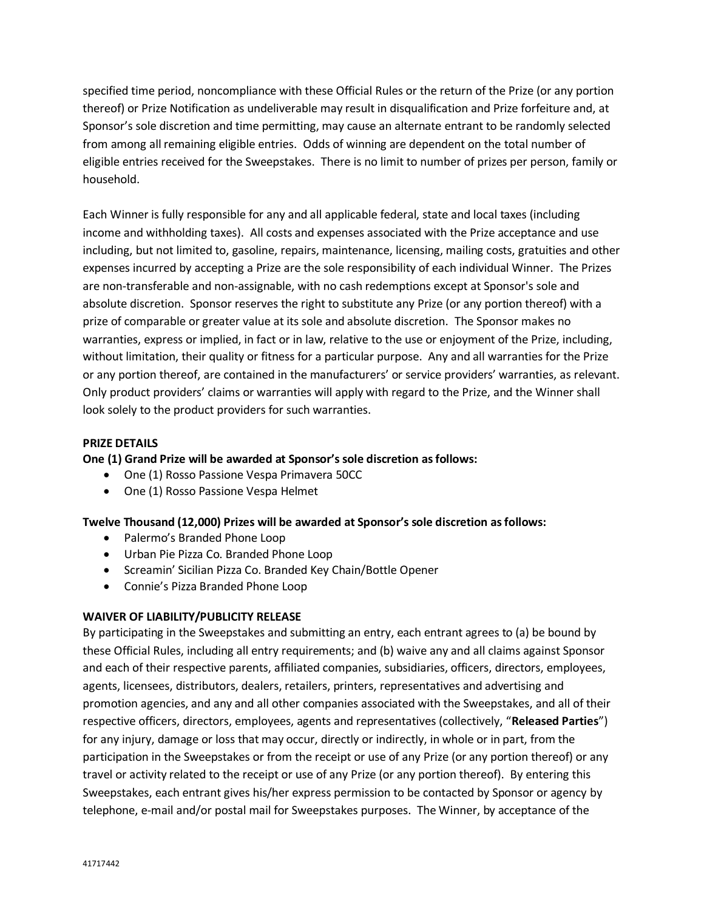specified time period, noncompliance with these Official Rules or the return of the Prize (or any portion thereof) or Prize Notification as undeliverable may result in disqualification and Prize forfeiture and, at Sponsor's sole discretion and time permitting, may cause an alternate entrant to be randomly selected from among all remaining eligible entries. Odds of winning are dependent on the total number of eligible entries received for the Sweepstakes. There is no limit to number of prizes per person, family or household.

Each Winner is fully responsible for any and all applicable federal, state and local taxes (including income and withholding taxes). All costs and expenses associated with the Prize acceptance and use including, but not limited to, gasoline, repairs, maintenance, licensing, mailing costs, gratuities and other expenses incurred by accepting a Prize are the sole responsibility of each individual Winner. The Prizes are non-transferable and non-assignable, with no cash redemptions except at Sponsor's sole and absolute discretion. Sponsor reserves the right to substitute any Prize (or any portion thereof) with a prize of comparable or greater value at its sole and absolute discretion. The Sponsor makes no warranties, express or implied, in fact or in law, relative to the use or enjoyment of the Prize, including, without limitation, their quality or fitness for a particular purpose. Any and all warranties for the Prize or any portion thereof, are contained in the manufacturers' or service providers' warranties, as relevant. Only product providers' claims or warranties will apply with regard to the Prize, and the Winner shall look solely to the product providers for such warranties.

### **PRIZE DETAILS**

### **One (1) Grand Prize will be awarded at Sponsor's sole discretion as follows:**

- One (1) Rosso Passione Vespa Primavera 50CC
- One (1) Rosso Passione Vespa Helmet

### **Twelve Thousand (12,000) Prizes will be awarded at Sponsor's sole discretion as follows:**

- Palermo's Branded Phone Loop
- Urban Pie Pizza Co. Branded Phone Loop
- Screamin' Sicilian Pizza Co. Branded Key Chain/Bottle Opener
- Connie's Pizza Branded Phone Loop

### **WAIVER OF LIABILITY/PUBLICITY RELEASE**

By participating in the Sweepstakes and submitting an entry, each entrant agrees to (a) be bound by these Official Rules, including all entry requirements; and (b) waive any and all claims against Sponsor and each of their respective parents, affiliated companies, subsidiaries, officers, directors, employees, agents, licensees, distributors, dealers, retailers, printers, representatives and advertising and promotion agencies, and any and all other companies associated with the Sweepstakes, and all of their respective officers, directors, employees, agents and representatives (collectively, "**Released Parties**") for any injury, damage or loss that may occur, directly or indirectly, in whole or in part, from the participation in the Sweepstakes or from the receipt or use of any Prize (or any portion thereof) or any travel or activity related to the receipt or use of any Prize (or any portion thereof). By entering this Sweepstakes, each entrant gives his/her express permission to be contacted by Sponsor or agency by telephone, e-mail and/or postal mail for Sweepstakes purposes. The Winner, by acceptance of the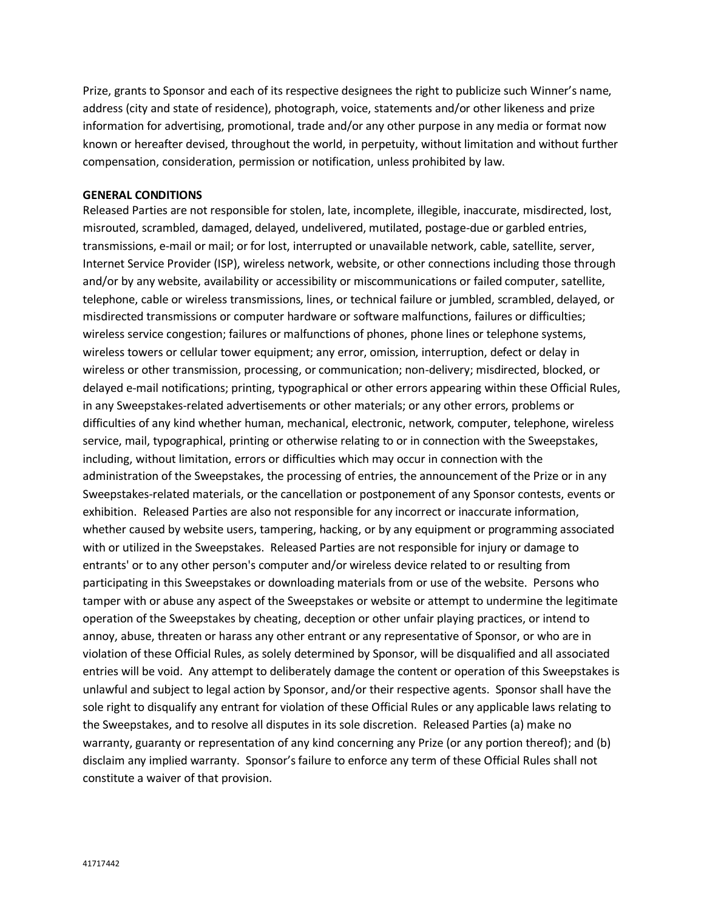Prize, grants to Sponsor and each of its respective designees the right to publicize such Winner's name, address (city and state of residence), photograph, voice, statements and/or other likeness and prize information for advertising, promotional, trade and/or any other purpose in any media or format now known or hereafter devised, throughout the world, in perpetuity, without limitation and without further compensation, consideration, permission or notification, unless prohibited by law.

#### **GENERAL CONDITIONS**

Released Parties are not responsible for stolen, late, incomplete, illegible, inaccurate, misdirected, lost, misrouted, scrambled, damaged, delayed, undelivered, mutilated, postage-due or garbled entries, transmissions, e-mail or mail; or for lost, interrupted or unavailable network, cable, satellite, server, Internet Service Provider (ISP), wireless network, website, or other connections including those through and/or by any website, availability or accessibility or miscommunications or failed computer, satellite, telephone, cable or wireless transmissions, lines, or technical failure or jumbled, scrambled, delayed, or misdirected transmissions or computer hardware or software malfunctions, failures or difficulties; wireless service congestion; failures or malfunctions of phones, phone lines or telephone systems, wireless towers or cellular tower equipment; any error, omission, interruption, defect or delay in wireless or other transmission, processing, or communication; non-delivery; misdirected, blocked, or delayed e-mail notifications; printing, typographical or other errors appearing within these Official Rules, in any Sweepstakes-related advertisements or other materials; or any other errors, problems or difficulties of any kind whether human, mechanical, electronic, network, computer, telephone, wireless service, mail, typographical, printing or otherwise relating to or in connection with the Sweepstakes, including, without limitation, errors or difficulties which may occur in connection with the administration of the Sweepstakes, the processing of entries, the announcement of the Prize or in any Sweepstakes-related materials, or the cancellation or postponement of any Sponsor contests, events or exhibition. Released Parties are also not responsible for any incorrect or inaccurate information, whether caused by website users, tampering, hacking, or by any equipment or programming associated with or utilized in the Sweepstakes. Released Parties are not responsible for injury or damage to entrants' or to any other person's computer and/or wireless device related to or resulting from participating in this Sweepstakes or downloading materials from or use of the website. Persons who tamper with or abuse any aspect of the Sweepstakes or website or attempt to undermine the legitimate operation of the Sweepstakes by cheating, deception or other unfair playing practices, or intend to annoy, abuse, threaten or harass any other entrant or any representative of Sponsor, or who are in violation of these Official Rules, as solely determined by Sponsor, will be disqualified and all associated entries will be void. Any attempt to deliberately damage the content or operation of this Sweepstakes is unlawful and subject to legal action by Sponsor, and/or their respective agents. Sponsor shall have the sole right to disqualify any entrant for violation of these Official Rules or any applicable laws relating to the Sweepstakes, and to resolve all disputes in its sole discretion. Released Parties (a) make no warranty, guaranty or representation of any kind concerning any Prize (or any portion thereof); and (b) disclaim any implied warranty. Sponsor's failure to enforce any term of these Official Rules shall not constitute a waiver of that provision.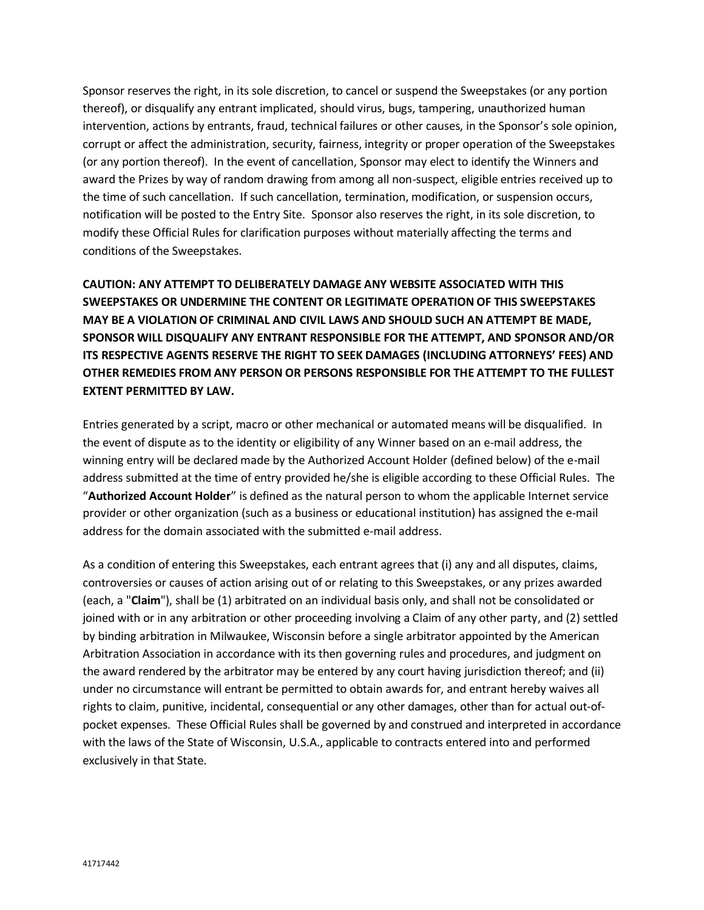Sponsor reserves the right, in its sole discretion, to cancel or suspend the Sweepstakes (or any portion thereof), or disqualify any entrant implicated, should virus, bugs, tampering, unauthorized human intervention, actions by entrants, fraud, technical failures or other causes, in the Sponsor's sole opinion, corrupt or affect the administration, security, fairness, integrity or proper operation of the Sweepstakes (or any portion thereof). In the event of cancellation, Sponsor may elect to identify the Winners and award the Prizes by way of random drawing from among all non-suspect, eligible entries received up to the time of such cancellation. If such cancellation, termination, modification, or suspension occurs, notification will be posted to the Entry Site. Sponsor also reserves the right, in its sole discretion, to modify these Official Rules for clarification purposes without materially affecting the terms and conditions of the Sweepstakes.

# **CAUTION: ANY ATTEMPT TO DELIBERATELY DAMAGE ANY WEBSITE ASSOCIATED WITH THIS SWEEPSTAKES OR UNDERMINE THE CONTENT OR LEGITIMATE OPERATION OF THIS SWEEPSTAKES MAY BE A VIOLATION OF CRIMINAL AND CIVIL LAWS AND SHOULD SUCH AN ATTEMPT BE MADE, SPONSOR WILL DISQUALIFY ANY ENTRANT RESPONSIBLE FOR THE ATTEMPT, AND SPONSOR AND/OR ITS RESPECTIVE AGENTS RESERVE THE RIGHT TO SEEK DAMAGES (INCLUDING ATTORNEYS' FEES) AND OTHER REMEDIES FROM ANY PERSON OR PERSONS RESPONSIBLE FOR THE ATTEMPT TO THE FULLEST EXTENT PERMITTED BY LAW.**

Entries generated by a script, macro or other mechanical or automated means will be disqualified. In the event of dispute as to the identity or eligibility of any Winner based on an e-mail address, the winning entry will be declared made by the Authorized Account Holder (defined below) of the e-mail address submitted at the time of entry provided he/she is eligible according to these Official Rules. The "**Authorized Account Holder**" is defined as the natural person to whom the applicable Internet service provider or other organization (such as a business or educational institution) has assigned the e-mail address for the domain associated with the submitted e-mail address.

As a condition of entering this Sweepstakes, each entrant agrees that (i) any and all disputes, claims, controversies or causes of action arising out of or relating to this Sweepstakes, or any prizes awarded (each, a "**Claim**"), shall be (1) arbitrated on an individual basis only, and shall not be consolidated or joined with or in any arbitration or other proceeding involving a Claim of any other party, and (2) settled by binding arbitration in Milwaukee, Wisconsin before a single arbitrator appointed by the American Arbitration Association in accordance with its then governing rules and procedures, and judgment on the award rendered by the arbitrator may be entered by any court having jurisdiction thereof; and (ii) under no circumstance will entrant be permitted to obtain awards for, and entrant hereby waives all rights to claim, punitive, incidental, consequential or any other damages, other than for actual out-ofpocket expenses. These Official Rules shall be governed by and construed and interpreted in accordance with the laws of the State of Wisconsin, U.S.A., applicable to contracts entered into and performed exclusively in that State.